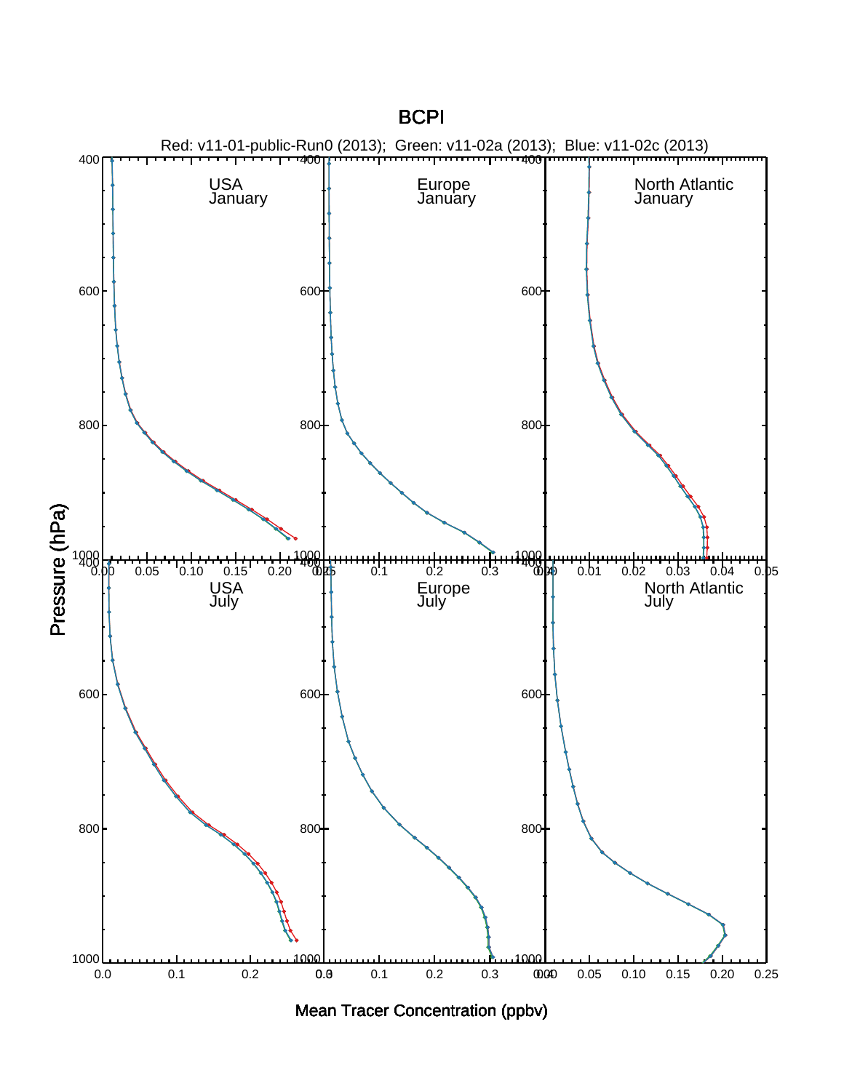

Mean Tracer Concentration (ppbv)

**BCPI**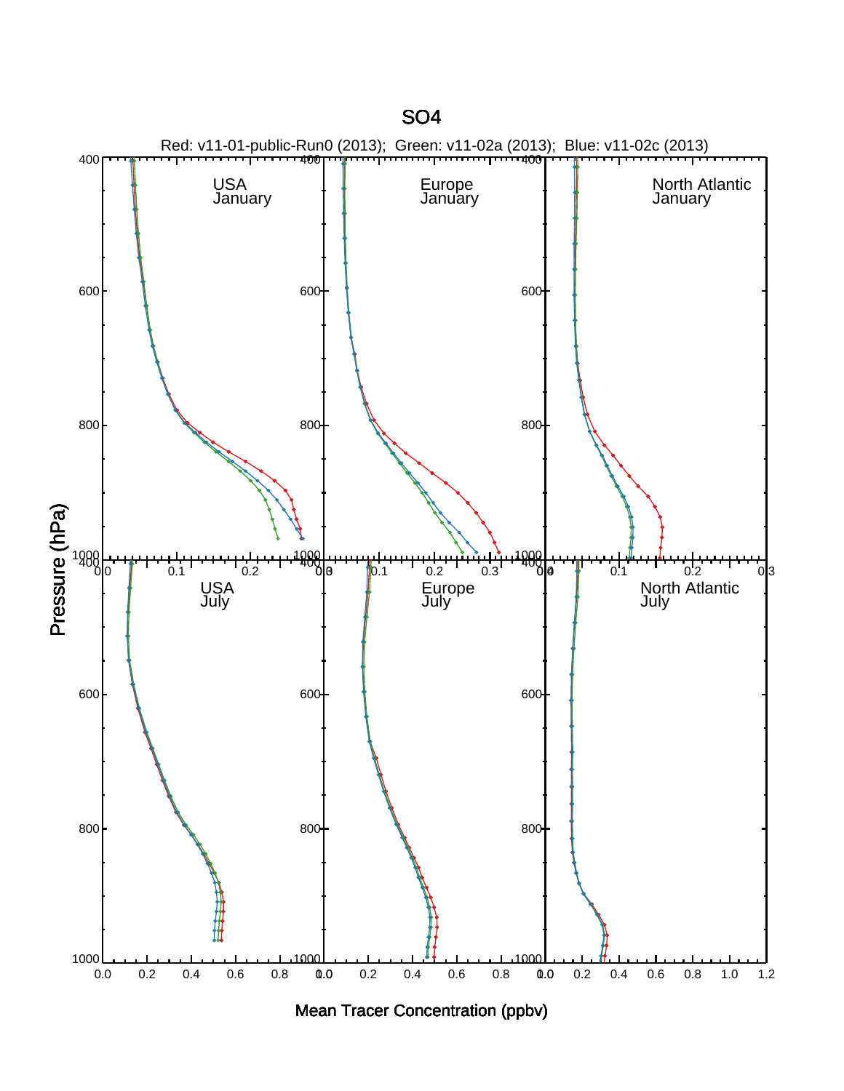



SO4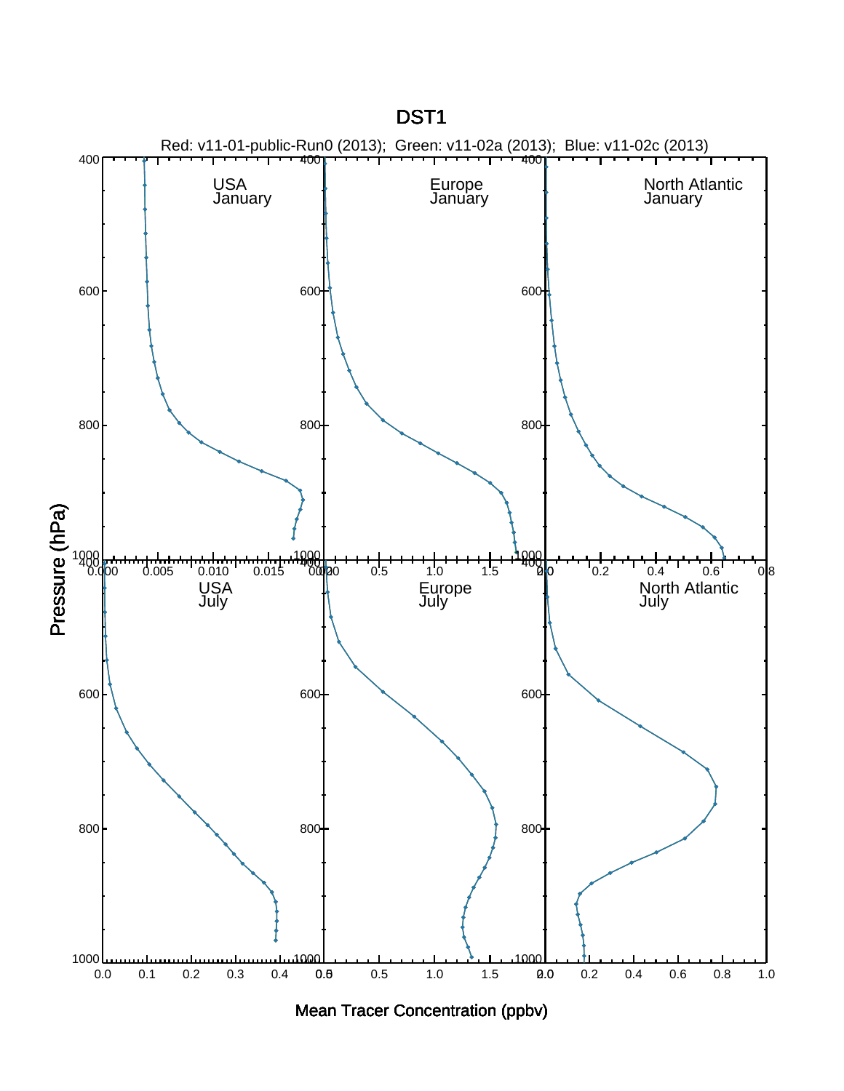

## Mean Tracer Concentration (ppbv)

DST1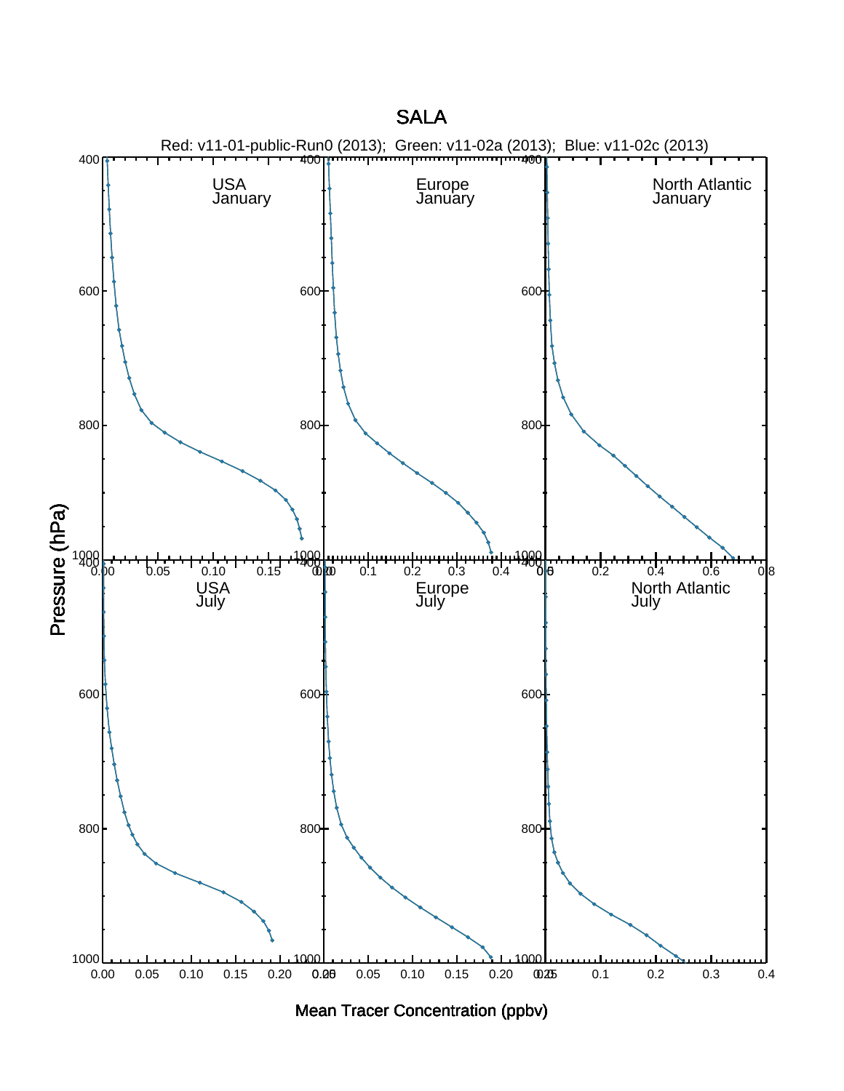



**SALA**